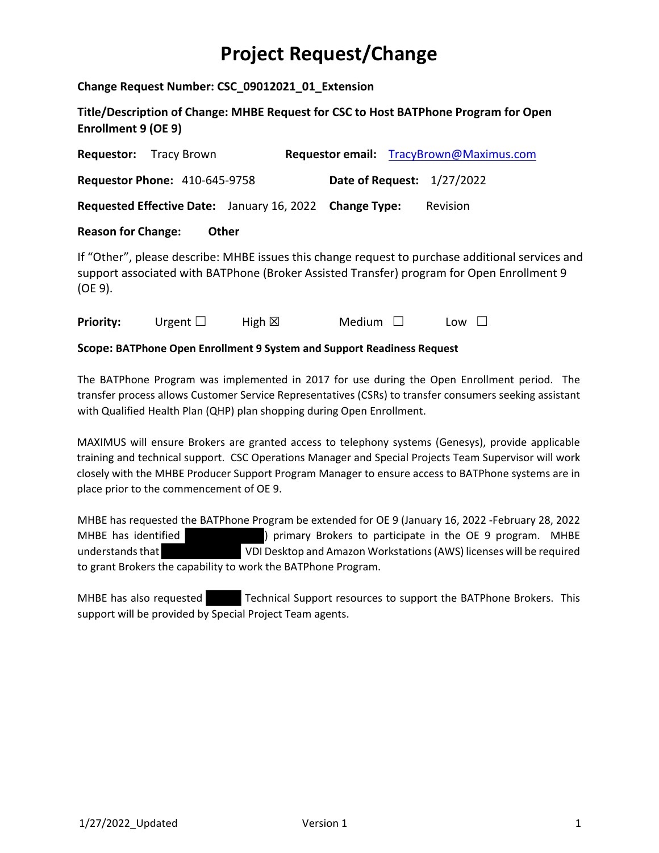## **Project Request/Change**

**Change Request Number: CSC\_09012021\_01\_Extension**

**Title/Description of Change: MHBE Request for CSC to Host BATPhone Program for Open Enrollment 9 (OE 9)**

| Requestor:                | Tracy Brown                          |                                                         | Requestor email: TracyBrown@Maximus.com                                                                                                                                                       |
|---------------------------|--------------------------------------|---------------------------------------------------------|-----------------------------------------------------------------------------------------------------------------------------------------------------------------------------------------------|
|                           | <b>Requestor Phone: 410-645-9758</b> |                                                         | <b>Date of Request: 1/27/2022</b>                                                                                                                                                             |
|                           |                                      | Requested Effective Date: January 16, 2022 Change Type: | Revision                                                                                                                                                                                      |
| <b>Reason for Change:</b> |                                      | Other                                                   |                                                                                                                                                                                               |
| (OE 9).                   |                                      |                                                         | If "Other", please describe: MHBE issues this change request to purchase additional services and<br>support associated with BATPhone (Broker Assisted Transfer) program for Open Enrollment 9 |

**Priority:** Urgent □ High ⊠ Medium □ Low □

**Scope: BATPhone Open Enrollment 9 System and Support Readiness Request**

The BATPhone Program was implemented in 2017 for use during the Open Enrollment period. The transfer process allows Customer Service Representatives (CSRs) to transfer consumers seeking assistant with Qualified Health Plan (QHP) plan shopping during Open Enrollment.

MAXIMUS will ensure Brokers are granted access to telephony systems (Genesys), provide applicable training and technical support. CSC Operations Manager and Special Projects Team Supervisor will work closely with the MHBE Producer Support Program Manager to ensure access to BATPhone systems are in place prior to the commencement of OE 9.

MHBE has requested the BATPhone Program be extended for OE 9 (January 16, 2022 ‐February 28, 2022 MHBE has identified (a) primary Brokers to participate in the OE 9 program. MHBE understandsthat VDI Desktop and Amazon Workstations(AWS) licenses will be required to grant Brokers the capability to work the BATPhone Program.

MHBE has also requested Technical Support resources to support the BATPhone Brokers. This support will be provided by Special Project Team agents.